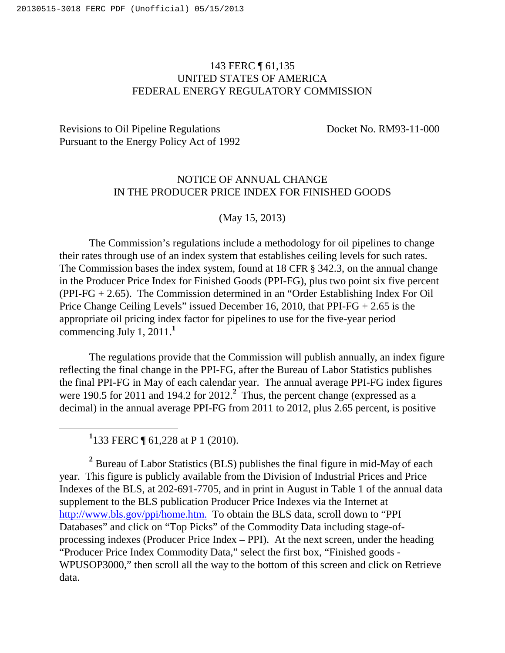## 143 FERC ¶ 61,135 UNITED STATES OF AMERICA FEDERAL ENERGY REGULATORY COMMISSION

## Revisions to Oil Pipeline Regulations Docket No. RM93-11-000 Pursuant to the Energy Policy Act of 1992

## NOTICE OF ANNUAL CHANGE IN THE PRODUCER PRICE INDEX FOR FINISHED GOODS

## (May 15, 2013)

The Commission's regulations include a methodology for oil pipelines to change their rates through use of an index system that establishes ceiling levels for such rates. The Commission bases the index system, found at 18 CFR § 342.3, on the annual change in the Producer Price Index for Finished Goods (PPI-FG), plus two point six five percent (PPI-FG + 2.65). The Commission determined in an "Order Establishing Index For Oil Price Change Ceiling Levels" issued December 16, 2010, that PPI-FG + 2.65 is the appropriate oil pricing index factor for pipelines to use for the five-year period commencing July 1, 2011.**<sup>1</sup>**

The regulations provide that the Commission will publish annually, an index figure reflecting the final change in the PPI-FG, after the Bureau of Labor Statistics publishes the final PPI-FG in May of each calendar year. The annual average PPI-FG index figures were 190.5 for 2011 and 194.2 for 2012.<sup>2</sup> Thus, the percent change (expressed as a decimal) in the annual average PPI-FG from 2011 to 2012, plus 2.65 percent, is positive

<sup>1</sup> 133 FERC ¶ 61,228 at P 1 (2010).

 $\overline{a}$ 

<sup>2</sup> Bureau of Labor Statistics (BLS) publishes the final figure in mid-May of each year. This figure is publicly available from the Division of Industrial Prices and Price Indexes of the BLS, at 202-691-7705, and in print in August in Table 1 of the annual data supplement to the BLS publication Producer Price Indexes via the Internet at http://www.bls.gov/ppi/home.htm. To obtain the BLS data, scroll down to "PPI Databases" and click on "Top Picks" of the Commodity Data including stage-ofprocessing indexes (Producer Price Index – PPI). At the next screen, under the heading "Producer Price Index Commodity Data," select the first box, "Finished goods - WPUSOP3000," then scroll all the way to the bottom of this screen and click on Retrieve data.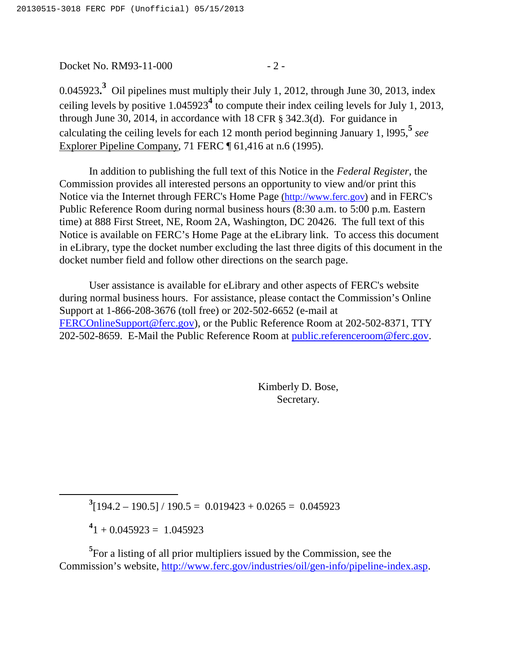Docket No. RM93-11-000 - 2 -

0.045923.<sup>3</sup> Oil pipelines must multiply their July 1, 2012, through June 30, 2013, index ceiling levels by positive 1.045923**<sup>4</sup>** to compute their index ceiling levels for July 1, 2013, through June 30, 2014, in accordance with 18 CFR § 342.3(d). For guidance in calculating the ceiling levels for each 12 month period beginning January 1, l995,**<sup>5</sup>** *see* Explorer Pipeline Company, 71 FERC ¶ 61,416 at n.6 (1995).

In addition to publishing the full text of this Notice in the *Federal Register*, the Commission provides all interested persons an opportunity to view and/or print this Notice via the Internet through FERC's Home Page (http://www.ferc.gov) and in FERC's Public Reference Room during normal business hours (8:30 a.m. to 5:00 p.m. Eastern time) at 888 First Street, NE, Room 2A, Washington, DC 20426. The full text of this Notice is available on FERC's Home Page at the eLibrary link. To access this document in eLibrary, type the docket number excluding the last three digits of this document in the docket number field and follow other directions on the search page.

User assistance is available for eLibrary and other aspects of FERC's website during normal business hours. For assistance, please contact the Commission's Online Support at 1-866-208-3676 (toll free) or 202-502-6652 (e-mail at FERCOnlineSupport@ferc.gov), or the Public Reference Room at 202-502-8371, TTY 202-502-8659. E-Mail the Public Reference Room at public.referenceroom@ferc.gov.

> Kimberly D. Bose, Secretary.

 $3[194.2 - 190.5] / 190.5 = 0.019423 + 0.0265 = 0.045923$ 

 $^{4}$ 1 + 0.045923 = 1.045923

 $\overline{a}$ 

<sup>5</sup>For a listing of all prior multipliers issued by the Commission, see the Commission's website, http://www.ferc.gov/industries/oil/gen-info/pipeline-index.asp.